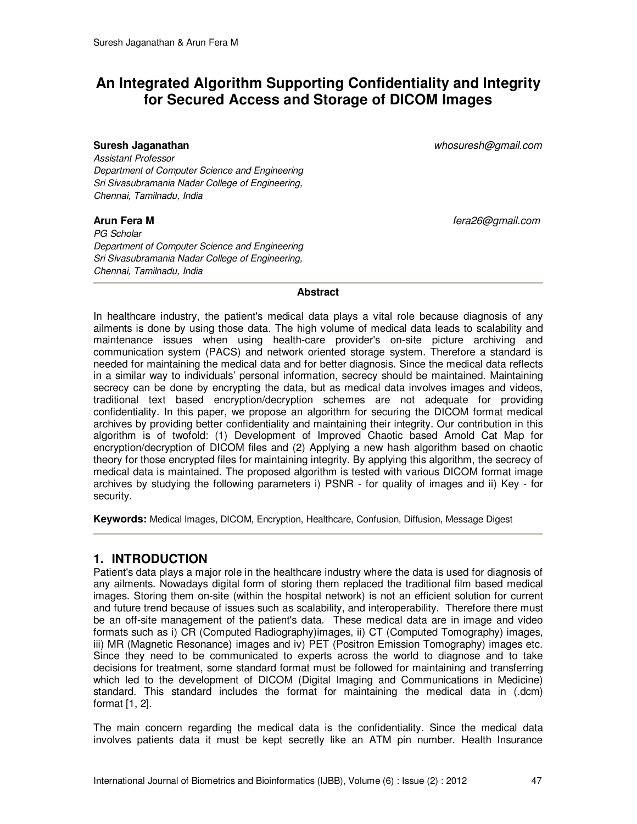# **An Integrated Algorithm Supporting Confidentiality and Integrity for Secured Access and Storage of DICOM Images**

**Suresh Jaganathan** *whosuresh@gmail.com* 

*Assistant Professor Department of Computer Science and Engineering Sri Sivasubramania Nadar College of Engineering, Chennai, Tamilnadu, India*

*PG Scholar Department of Computer Science and Engineering Sri Sivasubramania Nadar College of Engineering, Chennai, Tamilnadu, India* 

**Arun Fera M** *fera26@gmail.com* 

### **Abstract**

In healthcare industry, the patient's medical data plays a vital role because diagnosis of any ailments is done by using those data. The high volume of medical data leads to scalability and maintenance issues when using health-care provider's on-site picture archiving and communication system (PACS) and network oriented storage system. Therefore a standard is needed for maintaining the medical data and for better diagnosis. Since the medical data reflects in a similar way to individuals' personal information, secrecy should be maintained. Maintaining secrecy can be done by encrypting the data, but as medical data involves images and videos, traditional text based encryption/decryption schemes are not adequate for providing confidentiality. In this paper, we propose an algorithm for securing the DICOM format medical archives by providing better confidentiality and maintaining their integrity. Our contribution in this algorithm is of twofold: (1) Development of Improved Chaotic based Arnold Cat Map for encryption/decryption of DICOM files and (2) Applying a new hash algorithm based on chaotic theory for those encrypted files for maintaining integrity. By applying this algorithm, the secrecy of medical data is maintained. The proposed algorithm is tested with various DICOM format image archives by studying the following parameters i) PSNR - for quality of images and ii) Key - for security.

**Keywords:** Medical Images, DICOM, Encryption, Healthcare, Confusion, Diffusion, Message Digest

# **1. INTRODUCTION**

Patient's data plays a major role in the healthcare industry where the data is used for diagnosis of any ailments. Nowadays digital form of storing them replaced the traditional film based medical images. Storing them on-site (within the hospital network) is not an efficient solution for current and future trend because of issues such as scalability, and interoperability. Therefore there must be an off-site management of the patient's data. These medical data are in image and video formats such as i) CR (Computed Radiography)images, ii) CT (Computed Tomography) images, iii) MR (Magnetic Resonance) images and iv) PET (Positron Emission Tomography) images etc. Since they need to be communicated to experts across the world to diagnose and to take decisions for treatment, some standard format must be followed for maintaining and transferring which led to the development of DICOM (Digital Imaging and Communications in Medicine) standard. This standard includes the format for maintaining the medical data in (.dcm) format [1, 2].

The main concern regarding the medical data is the confidentiality. Since the medical data involves patients data it must be kept secretly like an ATM pin number. Health Insurance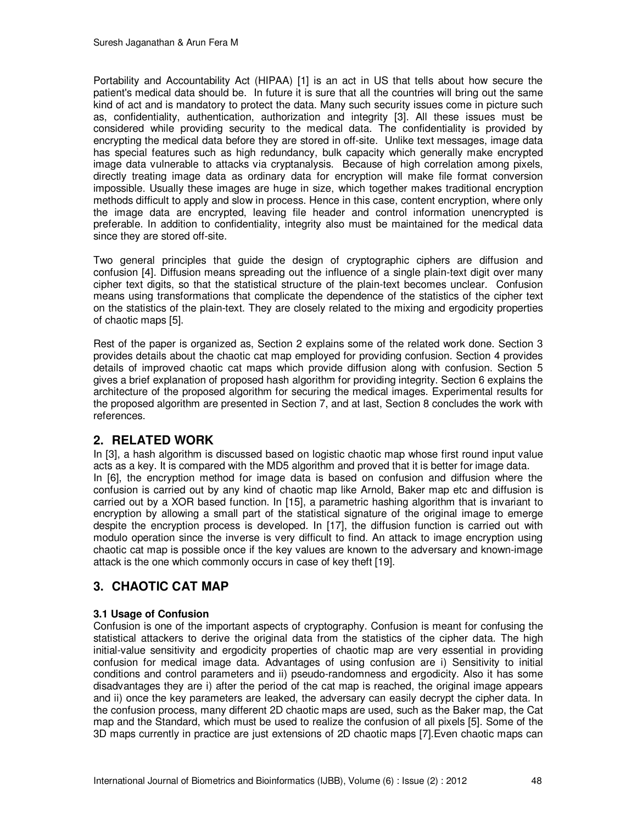Portability and Accountability Act (HIPAA) [1] is an act in US that tells about how secure the patient's medical data should be. In future it is sure that all the countries will bring out the same kind of act and is mandatory to protect the data. Many such security issues come in picture such as, confidentiality, authentication, authorization and integrity [3]. All these issues must be considered while providing security to the medical data. The confidentiality is provided by encrypting the medical data before they are stored in off-site. Unlike text messages, image data has special features such as high redundancy, bulk capacity which generally make encrypted image data vulnerable to attacks via cryptanalysis. Because of high correlation among pixels, directly treating image data as ordinary data for encryption will make file format conversion impossible. Usually these images are huge in size, which together makes traditional encryption methods difficult to apply and slow in process. Hence in this case, content encryption, where only the image data are encrypted, leaving file header and control information unencrypted is preferable. In addition to confidentiality, integrity also must be maintained for the medical data since they are stored off-site.

Two general principles that guide the design of cryptographic ciphers are diffusion and confusion [4]. Diffusion means spreading out the influence of a single plain-text digit over many cipher text digits, so that the statistical structure of the plain-text becomes unclear. Confusion means using transformations that complicate the dependence of the statistics of the cipher text on the statistics of the plain-text. They are closely related to the mixing and ergodicity properties of chaotic maps [5].

Rest of the paper is organized as, Section 2 explains some of the related work done. Section 3 provides details about the chaotic cat map employed for providing confusion. Section 4 provides details of improved chaotic cat maps which provide diffusion along with confusion. Section 5 gives a brief explanation of proposed hash algorithm for providing integrity. Section 6 explains the architecture of the proposed algorithm for securing the medical images. Experimental results for the proposed algorithm are presented in Section 7, and at last, Section 8 concludes the work with references.

# **2. RELATED WORK**

In [3], a hash algorithm is discussed based on logistic chaotic map whose first round input value acts as a key. It is compared with the MD5 algorithm and proved that it is better for image data. In [6], the encryption method for image data is based on confusion and diffusion where the confusion is carried out by any kind of chaotic map like Arnold, Baker map etc and diffusion is carried out by a XOR based function. In [15], a parametric hashing algorithm that is invariant to encryption by allowing a small part of the statistical signature of the original image to emerge despite the encryption process is developed. In [17], the diffusion function is carried out with modulo operation since the inverse is very difficult to find. An attack to image encryption using chaotic cat map is possible once if the key values are known to the adversary and known-image attack is the one which commonly occurs in case of key theft [19].

# **3. CHAOTIC CAT MAP**

# **3.1 Usage of Confusion**

Confusion is one of the important aspects of cryptography. Confusion is meant for confusing the statistical attackers to derive the original data from the statistics of the cipher data. The high initial-value sensitivity and ergodicity properties of chaotic map are very essential in providing confusion for medical image data. Advantages of using confusion are i) Sensitivity to initial conditions and control parameters and ii) pseudo-randomness and ergodicity. Also it has some disadvantages they are i) after the period of the cat map is reached, the original image appears and ii) once the key parameters are leaked, the adversary can easily decrypt the cipher data. In the confusion process, many different 2D chaotic maps are used, such as the Baker map, the Cat map and the Standard, which must be used to realize the confusion of all pixels [5]. Some of the 3D maps currently in practice are just extensions of 2D chaotic maps [7].Even chaotic maps can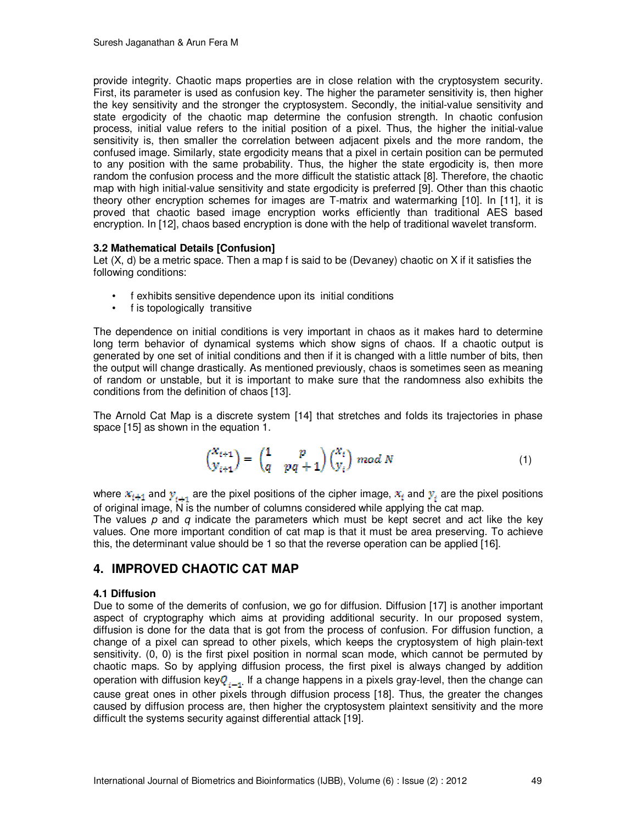provide integrity. Chaotic maps properties are in close relation with the cryptosystem security. First, its parameter is used as confusion key. The higher the parameter sensitivity is, then higher the key sensitivity and the stronger the cryptosystem. Secondly, the initial-value sensitivity and state ergodicity of the chaotic map determine the confusion strength. In chaotic confusion process, initial value refers to the initial position of a pixel. Thus, the higher the initial-value sensitivity is, then smaller the correlation between adjacent pixels and the more random, the confused image. Similarly, state ergodicity means that a pixel in certain position can be permuted to any position with the same probability. Thus, the higher the state ergodicity is, then more random the confusion process and the more difficult the statistic attack [8]. Therefore, the chaotic map with high initial-value sensitivity and state ergodicity is preferred [9]. Other than this chaotic theory other encryption schemes for images are T-matrix and watermarking [10]. In [11], it is proved that chaotic based image encryption works efficiently than traditional AES based encryption. In [12], chaos based encryption is done with the help of traditional wavelet transform.

#### **3.2 Mathematical Details [Confusion]**

Let (X, d) be a metric space. Then a map f is said to be (Devaney) chaotic on X if it satisfies the following conditions:

- f exhibits sensitive dependence upon its initial conditions
- f is topologically transitive

The dependence on initial conditions is very important in chaos as it makes hard to determine long term behavior of dynamical systems which show signs of chaos. If a chaotic output is generated by one set of initial conditions and then if it is changed with a little number of bits, then the output will change drastically. As mentioned previously, chaos is sometimes seen as meaning of random or unstable, but it is important to make sure that the randomness also exhibits the conditions from the definition of chaos [13].

The Arnold Cat Map is a discrete system [14] that stretches and folds its trajectories in phase space [15] as shown in the equation 1.

$$
\begin{pmatrix} x_{i+1} \\ y_{i+1} \end{pmatrix} = \begin{pmatrix} 1 & p \\ q & pq+1 \end{pmatrix} \begin{pmatrix} x_i \\ y_i \end{pmatrix} \bmod N \tag{1}
$$

where  $x_{i+1}$  and  $y_{i+1}$  are the pixel positions of the cipher image,  $x_i$  and  $y_i$  are the pixel positions of original image, N is the number of columns considered while applying the cat map.

The values *p* and *q* indicate the parameters which must be kept secret and act like the key values. One more important condition of cat map is that it must be area preserving. To achieve this, the determinant value should be 1 so that the reverse operation can be applied [16].

# **4. IMPROVED CHAOTIC CAT MAP**

#### **4.1 Diffusion**

Due to some of the demerits of confusion, we go for diffusion. Diffusion [17] is another important aspect of cryptography which aims at providing additional security. In our proposed system, diffusion is done for the data that is got from the process of confusion. For diffusion function, a change of a pixel can spread to other pixels, which keeps the cryptosystem of high plain-text sensitivity. (0, 0) is the first pixel position in normal scan mode, which cannot be permuted by chaotic maps. So by applying diffusion process, the first pixel is always changed by addition operation with diffusion key $Q_{r-1}$ . If a change happens in a pixels gray-level, then the change can cause great ones in other pixels through diffusion process [18]. Thus, the greater the changes caused by diffusion process are, then higher the cryptosystem plaintext sensitivity and the more difficult the systems security against differential attack [19].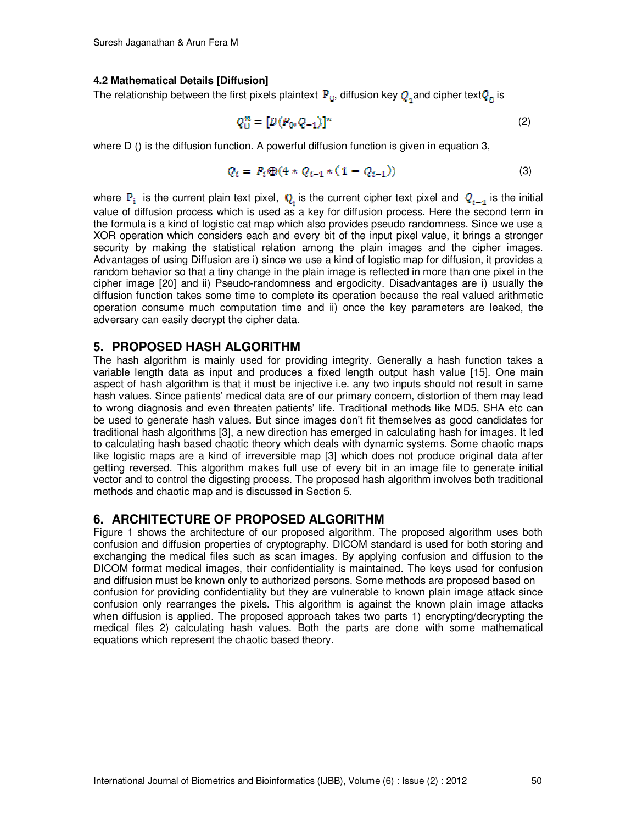#### **4.2 Mathematical Details [Diffusion]**

The relationship between the first pixels plaintext  $P_{0}$ , diffusion key  $Q_{1}$  and cipher text $Q_{\alpha}$  is

$$
Q_0^n = [D(P_0, Q_{-1})]^n
$$
 (2)

where D () is the diffusion function. A powerful diffusion function is given in equation 3,

$$
Q_i = P_i \oplus (4 \ast Q_{i-1} \ast (1 - Q_{i-1})) \tag{3}
$$

where  $P_i$  is the current plain text pixel,  $Q_i$  is the current cipher text pixel and  $Q_{i-1}$  is the initial value of diffusion process which is used as a key for diffusion process. Here the second term in the formula is a kind of logistic cat map which also provides pseudo randomness. Since we use a XOR operation which considers each and every bit of the input pixel value, it brings a stronger security by making the statistical relation among the plain images and the cipher images. Advantages of using Diffusion are i) since we use a kind of logistic map for diffusion, it provides a random behavior so that a tiny change in the plain image is reflected in more than one pixel in the cipher image [20] and ii) Pseudo-randomness and ergodicity. Disadvantages are i) usually the diffusion function takes some time to complete its operation because the real valued arithmetic operation consume much computation time and ii) once the key parameters are leaked, the adversary can easily decrypt the cipher data.

### **5. PROPOSED HASH ALGORITHM**

The hash algorithm is mainly used for providing integrity. Generally a hash function takes a variable length data as input and produces a fixed length output hash value [15]. One main aspect of hash algorithm is that it must be injective i.e. any two inputs should not result in same hash values. Since patients' medical data are of our primary concern, distortion of them may lead to wrong diagnosis and even threaten patients' life. Traditional methods like MD5, SHA etc can be used to generate hash values. But since images don't fit themselves as good candidates for traditional hash algorithms [3], a new direction has emerged in calculating hash for images. It led to calculating hash based chaotic theory which deals with dynamic systems. Some chaotic maps like logistic maps are a kind of irreversible map [3] which does not produce original data after getting reversed. This algorithm makes full use of every bit in an image file to generate initial vector and to control the digesting process. The proposed hash algorithm involves both traditional methods and chaotic map and is discussed in Section 5.

### **6. ARCHITECTURE OF PROPOSED ALGORITHM**

Figure 1 shows the architecture of our proposed algorithm. The proposed algorithm uses both confusion and diffusion properties of cryptography. DICOM standard is used for both storing and exchanging the medical files such as scan images. By applying confusion and diffusion to the DICOM format medical images, their confidentiality is maintained. The keys used for confusion and diffusion must be known only to authorized persons. Some methods are proposed based on confusion for providing confidentiality but they are vulnerable to known plain image attack since confusion only rearranges the pixels. This algorithm is against the known plain image attacks when diffusion is applied. The proposed approach takes two parts 1) encrypting/decrypting the medical files 2) calculating hash values. Both the parts are done with some mathematical equations which represent the chaotic based theory.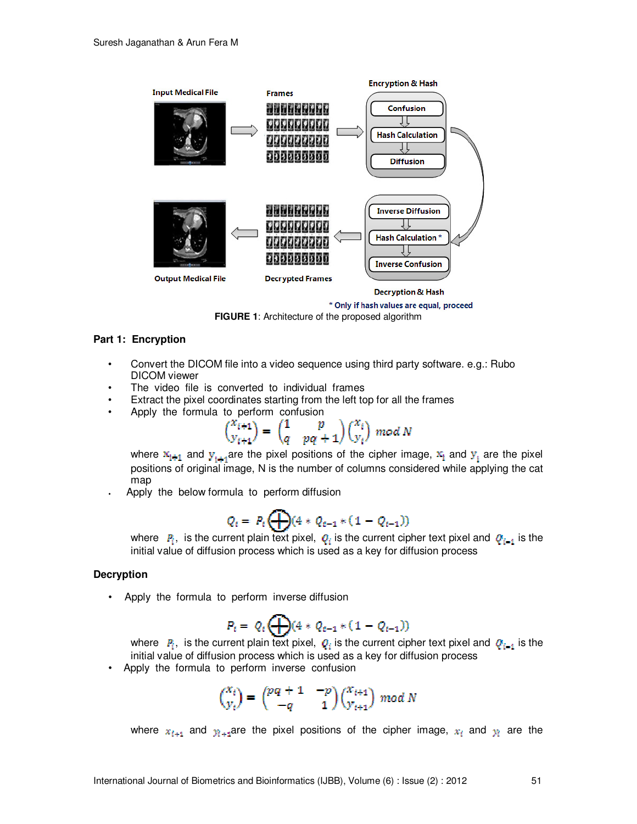

\* Only if hash values are equal, proceed

**FIGURE 1**: Architecture of the proposed algorithm

#### **Part 1: Encryption**

- Convert the DICOM file into a video sequence using third party software. e.g.: Rubo DICOM viewer
- The video file is converted to individual frames
- Extract the pixel coordinates starting from the left top for all the frames
- Apply the formula to perform confusion

$$
\binom{x_{i+1}}{y_{i+1}}=\binom{1}{q}\cdot\frac{p}{pq+1}\binom{x_i}{y_i}\ mod\ N
$$

where  $\mathbb{X}_{i+1}$  and  $\mathbf{y}_{i+1}$  are the pixel positions of the cipher image,  $\mathbb{X}_i$  and  $\mathbf{y}_i$  are the pixel positions of original image, N is the number of columns considered while applying the cat map

**•** Apply the below formula to perform diffusion

$$
Q_i = P_i \bigoplus (4 * Q_{i-1} * (1 - Q_{i-1}))
$$

where  $P_i$ , is the current plain text pixel,  $Q_i$  is the current cipher text pixel and  $Q_{i-1}$  is the initial value of diffusion process which is used as a key for diffusion process

#### **Decryption**

• Apply the formula to perform inverse diffusion

$$
P_t = Q_t \bigoplus (4 * Q_{t-1} * (1 - Q_{t-1}))
$$

where  $P_i$ , is the current plain text pixel,  $Q_i$  is the current cipher text pixel and  $Q_{i-1}$  is the initial value of diffusion process which is used as a key for diffusion process

Apply the formula to perform inverse confusion

$$
\begin{pmatrix} x_i \\ y_i \end{pmatrix} = \begin{pmatrix} pq+1 & -p \\ -q & 1 \end{pmatrix} \begin{pmatrix} x_{i+1} \\ y_{i+1} \end{pmatrix} \bmod N
$$

where  $x_{i+1}$  and  $y_{i+1}$ are the pixel positions of the cipher image,  $x_i$  and  $y_i$  are the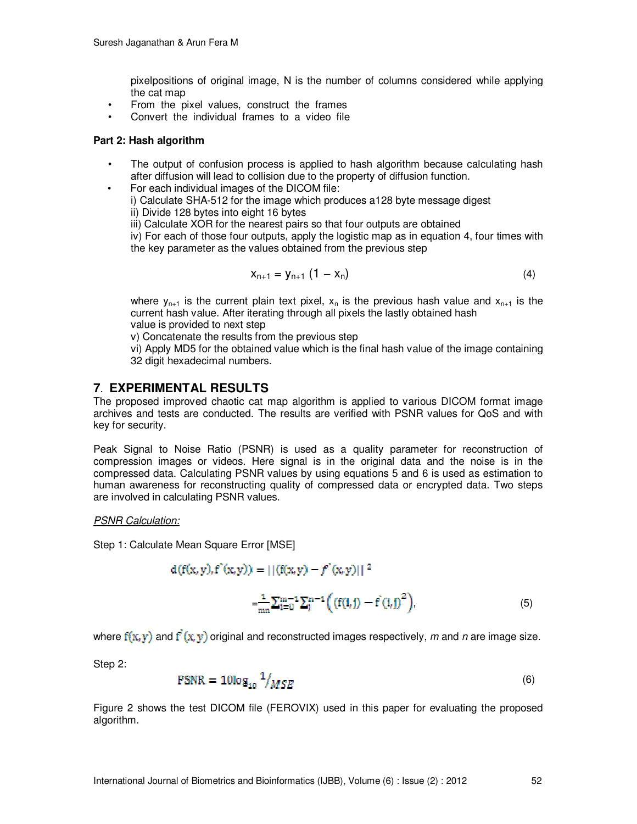pixelpositions of original image, N is the number of columns considered while applying the cat map

- From the pixel values, construct the frames
- Convert the individual frames to a video file

#### **Part 2: Hash algorithm**

- The output of confusion process is applied to hash algorithm because calculating hash after diffusion will lead to collision due to the property of diffusion function.
- For each individual images of the DICOM file:
	- i) Calculate SHA-512 for the image which produces a128 byte message digest
	- ii) Divide 128 bytes into eight 16 bytes

iii) Calculate XOR for the nearest pairs so that four outputs are obtained

iv) For each of those four outputs, apply the logistic map as in equation 4, four times with the key parameter as the values obtained from the previous step

$$
X_{n+1} = Y_{n+1} (1 - X_n)
$$
 (4)

where  $y_{n+1}$  is the current plain text pixel,  $x_n$  is the previous hash value and  $x_{n+1}$  is the current hash value. After iterating through all pixels the lastly obtained hash value is provided to next step

v) Concatenate the results from the previous step

vi) Apply MD5 for the obtained value which is the final hash value of the image containing 32 digit hexadecimal numbers.

# **7**. **EXPERIMENTAL RESULTS**

The proposed improved chaotic cat map algorithm is applied to various DICOM format image archives and tests are conducted. The results are verified with PSNR values for QoS and with key for security.

Peak Signal to Noise Ratio (PSNR) is used as a quality parameter for reconstruction of compression images or videos. Here signal is in the original data and the noise is in the compressed data. Calculating PSNR values by using equations 5 and 6 is used as estimation to human awareness for reconstructing quality of compressed data or encrypted data. Two steps are involved in calculating PSNR values.

#### *PSNR Calculation:*

Step 1: Calculate Mean Square Error [MSE]

$$
d(f(x, y), f'(x, y)) = ||(f(x, y) - f'(x, y)||^2
$$
  
= 
$$
\frac{1}{mn} \sum_{i=0}^{m-1} \sum_{j}^{n-1} \Big( (f(i, j) - f(i, j)^2) \Big),
$$
 (5)

where  $f(x, y)$  and  $f(x, y)$  original and reconstructed images respectively, *m* and *n* are image size.

Step 2:

$$
PSNR = 10\log_{10} \frac{1}{MSE}
$$
 (6)

Figure 2 shows the test DICOM file (FEROVIX) used in this paper for evaluating the proposed algorithm.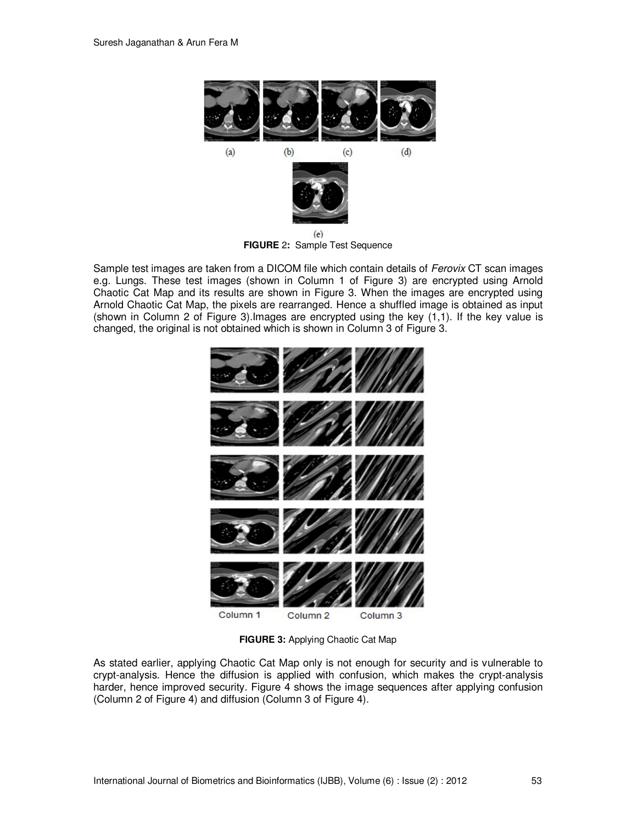

**FIGURE** 2**:** Sample Test Sequence

Sample test images are taken from a DICOM file which contain details of *Ferovix* CT scan images e.g. Lungs. These test images (shown in Column 1 of Figure 3) are encrypted using Arnold Chaotic Cat Map and its results are shown in Figure 3. When the images are encrypted using Arnold Chaotic Cat Map, the pixels are rearranged. Hence a shuffled image is obtained as input (shown in Column 2 of Figure 3).Images are encrypted using the key (1,1). If the key value is changed, the original is not obtained which is shown in Column 3 of Figure 3.



**FIGURE 3:** Applying Chaotic Cat Map

As stated earlier, applying Chaotic Cat Map only is not enough for security and is vulnerable to crypt-analysis. Hence the diffusion is applied with confusion, which makes the crypt-analysis harder, hence improved security. Figure 4 shows the image sequences after applying confusion (Column 2 of Figure 4) and diffusion (Column 3 of Figure 4).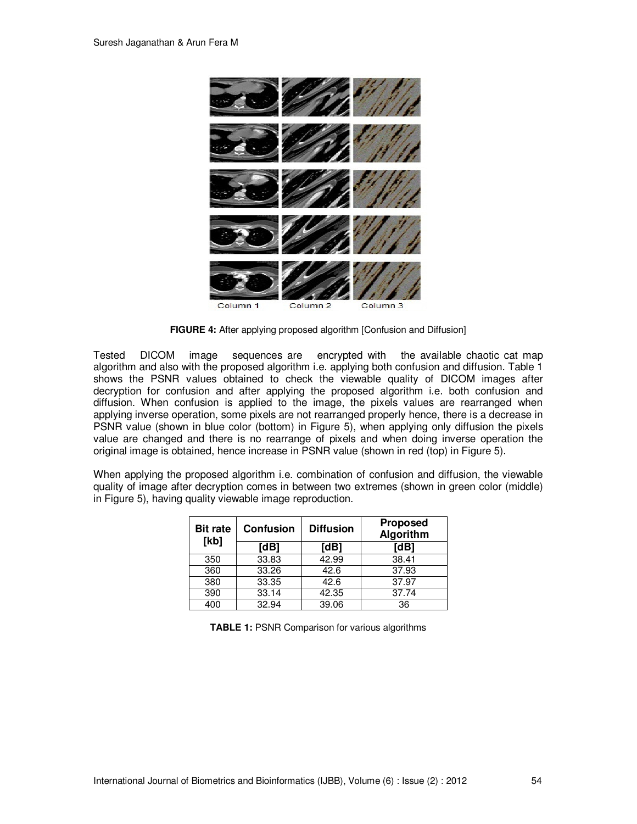

**FIGURE 4:** After applying proposed algorithm [Confusion and Diffusion]

Tested DICOM image sequences are encrypted with the available chaotic cat map algorithm and also with the proposed algorithm i.e. applying both confusion and diffusion. Table 1 shows the PSNR values obtained to check the viewable quality of DICOM images after decryption for confusion and after applying the proposed algorithm i.e. both confusion and diffusion. When confusion is applied to the image, the pixels values are rearranged when applying inverse operation, some pixels are not rearranged properly hence, there is a decrease in PSNR value (shown in blue color (bottom) in Figure 5), when applying only diffusion the pixels value are changed and there is no rearrange of pixels and when doing inverse operation the original image is obtained, hence increase in PSNR value (shown in red (top) in Figure 5).

When applying the proposed algorithm i.e. combination of confusion and diffusion, the viewable quality of image after decryption comes in between two extremes (shown in green color (middle) in Figure 5), having quality viewable image reproduction.

| <b>Bit rate</b><br>[kb] | <b>Confusion</b> | <b>Diffusion</b> | <b>Proposed</b><br>Algorithm |
|-------------------------|------------------|------------------|------------------------------|
|                         | [dB]             | [dB]             | [dB]                         |
| 350                     | 33.83            | 42.99            | 38.41                        |
| 360                     | 33.26            | 42.6             | 37.93                        |
| 380                     | 33.35            | 42.6             | 37.97                        |
| 390                     | 33.14            | 42.35            | 37.74                        |
| 400                     | 32.94            | 39.06            | 36                           |

**TABLE 1:** PSNR Comparison for various algorithms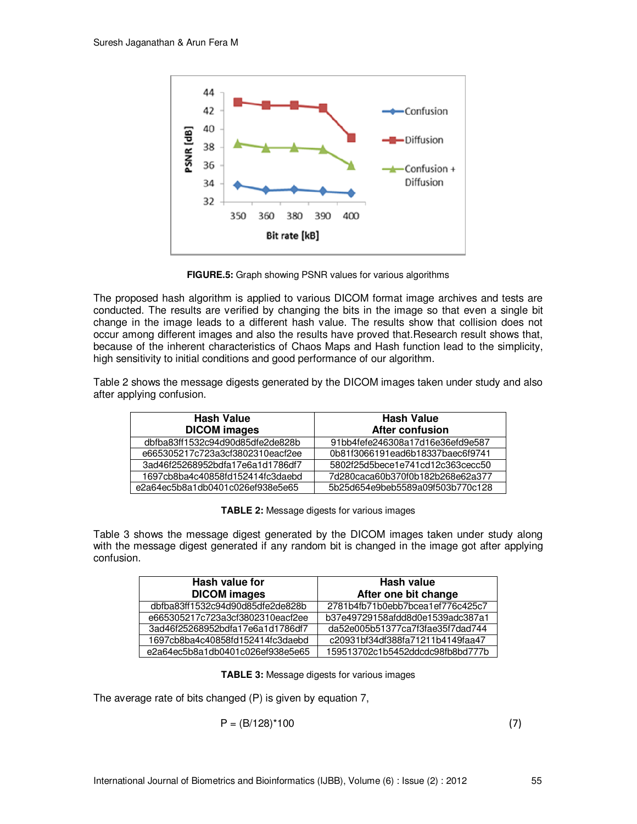

**FIGURE.5:** Graph showing PSNR values for various algorithms

The proposed hash algorithm is applied to various DICOM format image archives and tests are conducted. The results are verified by changing the bits in the image so that even a single bit change in the image leads to a different hash value. The results show that collision does not occur among different images and also the results have proved that.Research result shows that, because of the inherent characteristics of Chaos Maps and Hash function lead to the simplicity, high sensitivity to initial conditions and good performance of our algorithm.

Table 2 shows the message digests generated by the DICOM images taken under study and also after applying confusion.

| <b>Hash Value</b>                | <b>Hash Value</b>                |  |
|----------------------------------|----------------------------------|--|
| <b>DICOM</b> images              | After confusion                  |  |
| dbfba83ff1532c94d90d85dfe2de828b | 91bb4fefe246308a17d16e36efd9e587 |  |
| e665305217c723a3cf3802310eacf2ee | 0b81f3066191ead6b18337baec6f9741 |  |
| 3ad46f25268952bdfa17e6a1d1786df7 | 5802f25d5bece1e741cd12c363cecc50 |  |
| 1697cb8ba4c40858fd152414fc3daebd | 7d280caca60b370f0b182b268e62a377 |  |
| e2a64ec5b8a1db0401c026ef938e5e65 | 5b25d654e9beb5589a09f503b770c128 |  |

**TABLE 2:** Message digests for various images

Table 3 shows the message digest generated by the DICOM images taken under study along with the message digest generated if any random bit is changed in the image got after applying confusion.

| Hash value for                   | Hash value                       |  |
|----------------------------------|----------------------------------|--|
| <b>DICOM</b> images              | After one bit change             |  |
| dbfba83ff1532c94d90d85dfe2de828b | 2781b4fb71b0ebb7bcea1ef776c425c7 |  |
| e665305217c723a3cf3802310eacf2ee | b37e49729158afdd8d0e1539adc387a1 |  |
| 3ad46f25268952bdfa17e6a1d1786df7 | da52e005b51377ca7f3fae35f7dad744 |  |
| 1697cb8ba4c40858fd152414fc3daebd | c20931bf34df388fa71211b4149faa47 |  |
| e2a64ec5b8a1db0401c026ef938e5e65 | 159513702c1b5452ddcdc98fb8bd777b |  |

**TABLE 3:** Message digests for various images

The average rate of bits changed (P) is given by equation 7,

$$
P = (B/128)^*100
$$
 (7)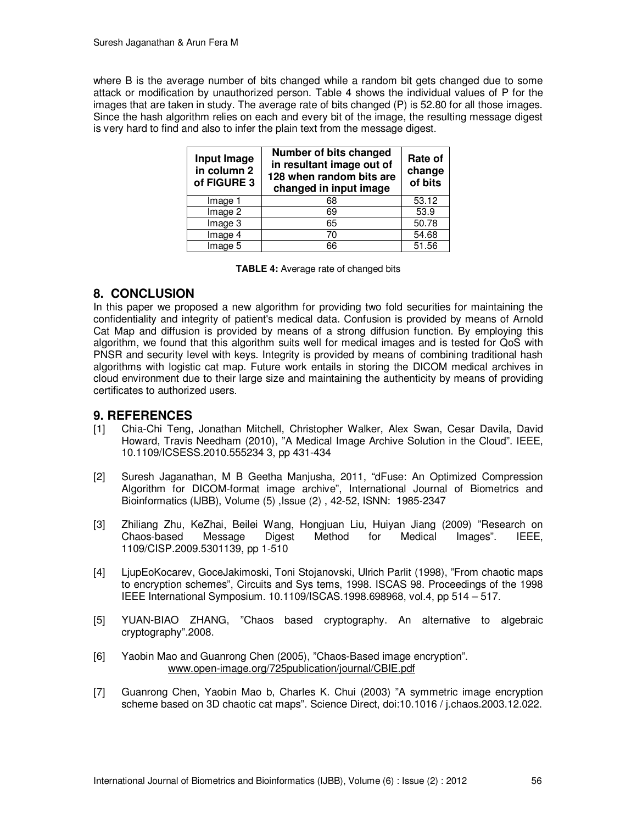where B is the average number of bits changed while a random bit gets changed due to some attack or modification by unauthorized person. Table 4 shows the individual values of P for the images that are taken in study. The average rate of bits changed (P) is 52.80 for all those images. Since the hash algorithm relies on each and every bit of the image, the resulting message digest is very hard to find and also to infer the plain text from the message digest.

| Input Image<br>in column 2<br>of FIGURE 3 | Number of bits changed<br>in resultant image out of<br>128 when random bits are<br>changed in input image | Rate of<br>change<br>of bits |
|-------------------------------------------|-----------------------------------------------------------------------------------------------------------|------------------------------|
| Image 1                                   | 68                                                                                                        | 53.12                        |
| Image 2                                   | 69                                                                                                        | 53.9                         |
| Image 3                                   | 65                                                                                                        | 50.78                        |
| Image 4                                   | 70                                                                                                        | 54.68                        |
| Image 5                                   | 66                                                                                                        | 51.56                        |

# **8. CONCLUSION**

In this paper we proposed a new algorithm for providing two fold securities for maintaining the confidentiality and integrity of patient's medical data. Confusion is provided by means of Arnold Cat Map and diffusion is provided by means of a strong diffusion function. By employing this algorithm, we found that this algorithm suits well for medical images and is tested for QoS with PNSR and security level with keys. Integrity is provided by means of combining traditional hash algorithms with logistic cat map. Future work entails in storing the DICOM medical archives in cloud environment due to their large size and maintaining the authenticity by means of providing certificates to authorized users.

## **9. REFERENCES**

- [1] Chia-Chi Teng, Jonathan Mitchell, Christopher Walker, Alex Swan, Cesar Davila, David Howard, Travis Needham (2010), "A Medical Image Archive Solution in the Cloud". IEEE, 10.1109/ICSESS.2010.555234 3, pp 431-434
- [2] Suresh Jaganathan, M B Geetha Manjusha, 2011, "dFuse: An Optimized Compression Algorithm for DICOM-format image archive", International Journal of Biometrics and Bioinformatics (IJBB), Volume (5) ,Issue (2) , 42-52, ISNN: 1985-2347
- [3] Zhiliang Zhu, KeZhai, Beilei Wang, Hongjuan Liu, Huiyan Jiang (2009) "Research on Chaos-based Message Digest Method for Medical Images". IEEE, 1109/CISP.2009.5301139, pp 1-510
- [4] LjupEoKocarev, GoceJakimoski, Toni Stojanovski, Ulrich Parlit (1998), "From chaotic maps to encryption schemes", Circuits and Sys tems, 1998. ISCAS 98. Proceedings of the 1998 IEEE International Symposium. 10.1109/ISCAS.1998.698968, vol.4, pp 514 – 517.
- [5] YUAN-BIAO ZHANG, "Chaos based cryptography. An alternative to algebraic cryptography".2008.
- [6] Yaobin Mao and Guanrong Chen (2005), "Chaos-Based image encryption". www.open-image.org/725publication/journal/CBIE.pdf
- [7] Guanrong Chen, Yaobin Mao b, Charles K. Chui (2003) "A symmetric image encryption scheme based on 3D chaotic cat maps". Science Direct, doi:10.1016 / j.chaos.2003.12.022.